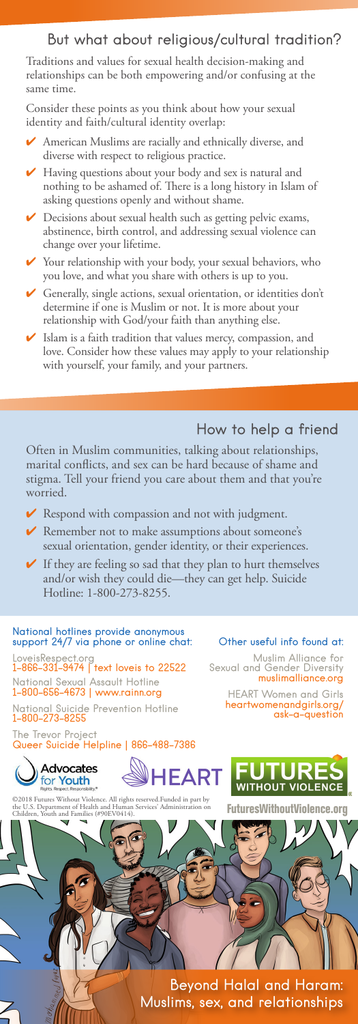# But what about religious/cultural tradition?

Traditions and values for sexual health decision-making and relationships can be both empowering and/or confusing at the same time.

Consider these points as you think about how your sexual identity and faith/cultural identity overlap:

- ✔ American Muslims are racially and ethnically diverse, and diverse with respect to religious practice.
- ✔ Having questions about your body and sex is natural and nothing to be ashamed of. There is a long history in Islam of asking questions openly and without shame.
- Decisions about sexual health such as getting pelvic exams, abstinence, birth control, and addressing sexual violence can change over your lifetime.
- Your relationship with your body, your sexual behaviors, who you love, and what you share with others is up to you.
- Generally, single actions, sexual orientation, or identities don't determine if one is Muslim or not. It is more about your relationship with God/your faith than anything else.
- ✔ Islam is a faith tradition that values mercy, compassion, and love. Consider how these values may apply to your relationship with yourself, your family, and your partners.

# How to help a friend

Often in Muslim communities, talking about relationships, marital conflicts, and sex can be hard because of shame and stigma. Tell your friend you care about them and that you're worried.

- $\vee$  Respond with compassion and not with judgment.
- ✔ Remember not to make assumptions about someone's sexual orientation, gender identity, or their experiences.
- $\blacktriangleright$  If they are feeling so sad that they plan to hurt themselves and/or wish they could die—they can get help. Suicide Hotline: 1-800-273-8255.

# National hotlines provide anonymous support 24/7 via phone or online chat:

LoveisRespect.org<br>**1-866-331-9474 | text loveis to 22522** National Sexual Assault Hotline 1-800-656-4673 | www.rainn.org

National Suicide Prevention Hotline<br>**1–800–273–8255** 

The Trevor Project<br><mark>Queer Suicide Helpline | 866–488–7386</mark>







Other useful info found at: Muslim Alliance for Sexual and Gender Diversity muslimalliance.org HEART Women and Girls heartwomenandgirls.org/ ask-a-question

©2018 Futures Without Violence. All rights reserved.Funded in part by<br>the U.S. Department of Health and Human Services' Administration on F**ulturesWithoutViolence.org**<br>Children, Youth and Families (#90EV0414).

Beyond Halal and Haram: Muslims, sex, and relationships